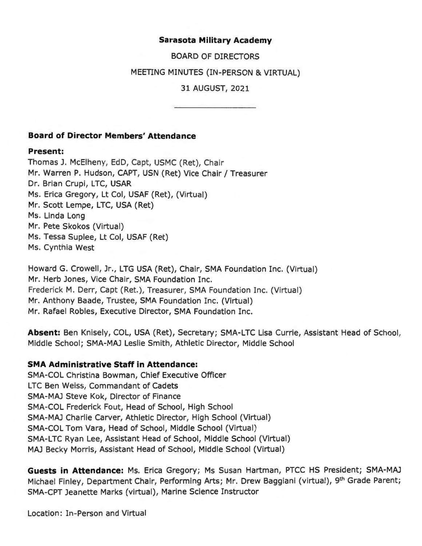### **Sarasota Military Academy**

BOARD OF DIRECTORS

MEETING MINUTES (IN-PERSON & VIRTUAL)

31 AUGUST, 2021

### **Board of Director Members' Attendance**

#### **Present:**

Thomas J. McElheny, EdD, Capt, USMC (Ret), Chair Mr. Warren P. Hudson, CAPT, USN (Ret) Vice Chair/ Treasurer Dr. Brian Crupi, LTC, USAR Ms. Erica Gregory, Lt Col, USAF (Ret), (Virtual) Mr. Scott Lempe, LTC, USA (Ret) Ms. Linda Long Mr. Pete Skokos (Virtual) Ms. Tessa Suplee, Lt Col, USAF (Ret) Ms. Cynthia West

Howard G. Crowell, Jr., LTG USA (Ret), Chair, SMA Foundation Inc. (Virtual) Mr. Herb Jones, Vice Chair, SMA Foundation Inc. Frederick M. Derr, Capt (Ret.), Treasurer, SMA Foundation Inc. (Virtual) Mr. Anthony Baade, Trustee, SMA Foundation Inc. (Virtual) Mr. Rafael Robles, Executive Director, SMA Foundation Inc.

**Absent:** Ben Knisely, COL, USA (Ret), Secretary; SMA- LTC Lisa Currie, Assistant Head of School, Middle School; SMA-MAJ Leslie Smith, Athletic Director, Middle School

### **SMA Administrative Staff in Attendance:**

SMA-COL Christina Bowman, Chief Executive Officer LTC Ben Weiss, Commandant of Cadets SMA-MAJ Steve Kok, Director of Finance SMA-COL Frederick Fout, Head of School, High School SMA-MAJ Charlie Carver, Athletic Director, High School (Virtual) SMA-COL Tom Vara, Head of School, Middle School (Virtual) SMA-LTC Ryan Lee, Assistant Head of School, Middle School (Virtual) MAJ Becky Morris, Assistant Head of School, Middle School (Virtual)

**Guests in Attendance:** Ms. Erica Gregory; Ms Susan Hartman, PTCC HS President; SMA-MAJ Michael Finley, Department Chair, Performing Arts; Mr. Drew Baggiani (virtual), 9<sup>th</sup> Grade Parent; SMA-CPT Jeanette Marks (virtual), Marine Science Instructor

Location: In-Person and Virtual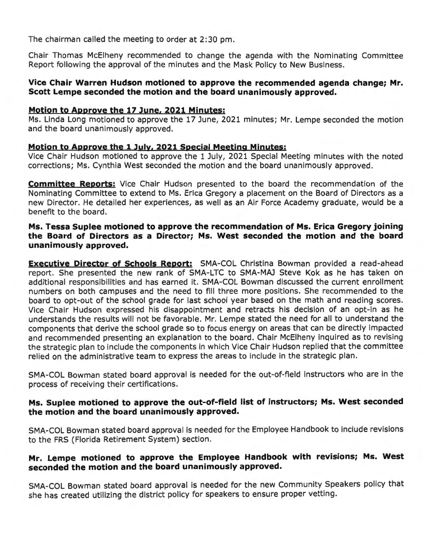The chairman called the meeting to order at 2:30 pm.

Chair Thomas McElheny recommended to change the agenda with the Nominating Committee Report following the approval of the minutes and the Mask Policy to New Business.

### **Vice Chair Warren Hudson motioned to approve the recommended agenda change; Mr. Scott Lempe seconded the motion and the board unanimously approved.**

#### **Motion to Approve the 17 lune, 2021 Minutes:**

Ms. Linda Long motioned to approve the 17 June, 2021 minutes; Mr. Lempe seconded the motion and the board unanimously approved.

#### **Motion to Approve the 1 July, 2021 Special Meeting Minutes:**

Vice Chair Hudson motioned to approve the 1 July, 2021 Special Meeting minutes with the noted corrections; Ms. Cynthia West seconded the motion and the board unanimously approved.

**Committee Reports:** Vice Chair Hudson presented to the board the recommendation of the Nominating Committee to extend to Ms. Erica Gregory a placement on the Board of Directors as a new Director. He detailed her experiences, as well as an Air Force Academy graduate, would be a benefit to the board.

### **Ms. Tessa Suplee motioned to approve the recommendation of Ms. Erica Gregory joining the Board of Directors as a Director; Ms. West seconded the motion and the board unanimously approved.**

**Executive Director of Schools Report:** SMA-COL Christina Bowman provided a read-ahead report. She presented the new rank of SMA-LTC to SMA-MAJ Steve Kok as he has taken on additional responsibilities and has earned it. SMA-COL Bowman discussed the current enrollment numbers on both campuses and the need to fill three more positions. She recommended to the board to opt-out of the school grade for last school year based on the math and reading scores. Vice Chair Hudson expressed his disappointment and retracts his decision of an opt-in as he understands the results will not be favorable. Mr. Lempe stated the need for all to understand the components that derive the school grade so to focus energy on areas that can be directly impacted and recommended presenting an explanation to the board. Chair McElheny inquired as to revising the strategic plan to include the components in which Vice Chair Hudson replied that the committee relied on the administrative team to express the areas to include in the strategic plan.

SMA-COL Bowman stated board approval is needed for the out-of-field instructors who are in the process of receiving their certifications.

# **Ms. Suplee motioned to approve the out-of-field list of instructors; Ms. West seconded the motion and the board unanimously approved.**

SMA-COL Bowman stated board approval is needed for the Employee Handbook to include revisions to the FRS (Florida Retirement System) section.

# **Mr. Lempe motioned to approve the Employee Handbook with revisions; Ms. West seconded the motion and the board unanimously approved.**

SMA-COL Bowman stated board approval is needed for the new Community Speakers policy that she has created utilizing the district policy for speakers to ensure proper vetting .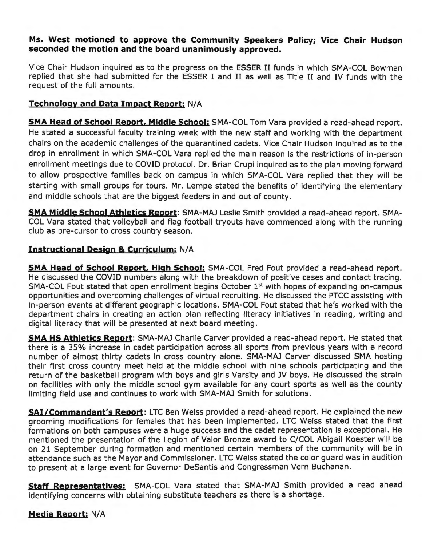### **Ms. West motioned to approve the Community Speakers Policy; Vice Chair Hudson seconded the motion and the board unanimously approved.**

Vice Chair Hudson inquired as to the progress on the ESSER II funds in which SMA-COL Bowman replied that she had submitted for the ESSER I and II as well as Title II and IV funds with the request of the full amounts.

## **Technology and Data Impact Report: N/A**

**SMA Head of School Report, Middle School:** SMA-COL Tom Vara provided a read-ahead report. He stated a successful faculty training week with the new staff and working with the department chairs on the academic challenges of the quarantined cadets. Vice Chair Hudson inquired as to the drop in enrollment in which SMA-COL Vara replied the main reason is the restrictions of in-person enrollment meetings due to COVID protocol. Dr. Brian Crupi inquired as to the plan moving forward to allow prospective families back on campus in which SMA-COL Vara replied that they will be starting with small groups for tours. Mr. Lempe stated the benefits of identifying the elementary and middle schools that are the biggest feeders in and out of county.

**SMA Middle School Athletics Report:** SMA-MAJ Leslie Smith provided a read-ahead report. SMA-COL Vara stated that volleyball and flag football tryouts have commenced along with the running club as pre-cursor to cross country season.

### **Instructional Design & Curriculum:** N/A

**SMA Head of School Report, High School:** SMA-COL Fred Fout provided a read-ahead report. He discussed the COVID numbers along with the breakdown of positive cases and contact tracing. SMA-COL Fout stated that open enrollment begins October 1<sup>st</sup> with hopes of expanding on-campus opportunities and overcoming challenges of virtual recruiting. He discussed the PTCC assisting with in-person events at different geographic locations. SMA-COL Fout stated that he's worked with the department chairs in creating an action plan reflecting literacy initiatives in reading, writing and digital literacy that will be presented at next board meeting.

**SMA HS Athletics Report:** SMA-MAJ Charlie Carver provided a read-ahead report. He stated that there is a 35% increase in cadet participation across all sports from previous years with a record number of almost thirty cadets in cross country alone. SMA-MAJ Carver discussed SMA hosting their first cross country meet held at the middle school with nine schools participating and the return of the basketball program with boys and girls Varsity and JV boys. He discussed the strain on facilities with only the middle school gym available for any court sports as well as the county limiting field use and continues to work with SMA-MAJ Smith for solutions.

**SAi/Commandant's Report:** LTC Ben Weiss provided a read-ahead report. He explained the new grooming modifications for females that has been implemented. LTC Weiss stated that the first formations on both campuses were a huge success and the cadet representation is exceptional. He mentioned the presentation of the Legion of Valor Bronze award to C/COL Abigail Koester will be on 21 September during formation and mentioned certain members of the community will be in attendance such as the Mayor and Commissioner. LTC Weiss stated the color guard was in audition to present at a large event for Governor Desantis and Congressman Vern Buchanan.

**Staff Representatives:** SMA-COL Vara stated that SMA-MAJ Smith provided a read ahead identifying concerns with obtaining substitute teachers as there is a shortage.

**Media Report: N/A**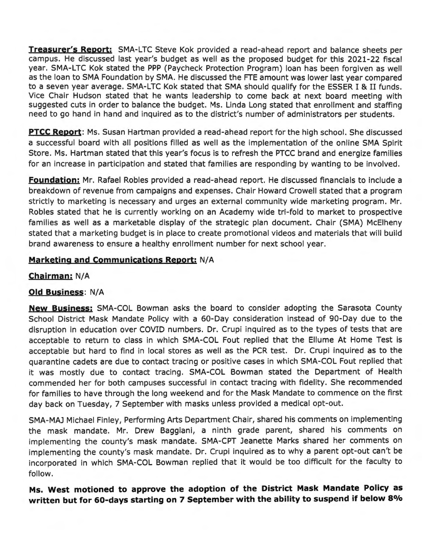**Treasurer's Report:** SMA-LTC Steve Kok provided a read-ahead report and balance sheets per campus. He discussed last year's budget as well as the proposed budget for this 2021-22 fiscal year. SMA-LTC Kok stated the PPP (Paycheck Protection Program) loan has been forgiven as well as the loan to SMA Foundation by SMA. He discussed the FTE amount was lower last year compared to a seven year average. SMA-LTC Kok stated that SMA should qualify for the ESSER I & II funds. Vice Chair Hudson stated that he wants leadership to come back at next board meeting with suggested cuts in order to balance the budget. Ms. Linda Long stated that enrollment and staffing need to go hand in hand and inquired as to the district's number of administrators per students.

**PTCC Report:** Ms. Susan Hartman provided a read-ahead report for the high school. She discussed a successful board with all positions filled as well as the implementation of the online SMA Spirit Store. Ms. Hartman stated that this year's focus is to refresh the PTCC brand and energize families for an increase in participation and stated that families are responding by wanting to be involved.

**Foundation:** Mr. Rafael Robles provided a read-ahead report. He discussed financials to include a breakdown of revenue from campaigns and expenses. Chair Howard Crowell stated that a program strictly to marketing is necessary and urges an external community wide marketing program. Mr. Robles stated that he is currently working on an Academy wide tri-fold to market to prospective families as well as a marketable display of the strategic plan document. Chair (SMA) McElheny stated that a marketing budget is in place to create promotional videos and materials that will build brand awareness to ensure a healthy enrollment number for next school year.

# **Marketing and Communications Report: N/A**

**Chairman:** N/A

# **Old Business:** N/A

**New Business:** SMA-COL Bowman asks the board to consider adopting the Sarasota County School District Mask Mandate Policy with a 60-Day consideration instead of 90-Day due to the disruption in education over COVID numbers. Dr. Crupi inquired as to the types of tests that are acceptable to return to class in which SMA-COL Fout replied that the Ellume At Home Test is acceptable but hard to find in local stores as well as the PCR test. Dr. Crupi inquired as to the quarantine cadets are due to contact tracing or positive cases in which SMA-COL Fout replied that it was mostly due to contact tracing. SMA-COL Bowman stated the Department of Health commended her for both campuses successful in contact tracing with fidelity. She recommended for families to have through the long weekend and for the Mask Mandate to commence on the first day back on Tuesday, 7 September with masks unless provided a medical opt-out.

SMA-MAJ Michael Finley, Performing Arts Department Chair, shared his comments on implementing the mask mandate. Mr. Drew Baggiani, a ninth grade parent, shared his comments on implementing the county's mask mandate. SMA-CPT Jeanette Marks shared her comments on implementing the county's mask mandate. Dr. Crupi inquired as to why a parent opt-out can't be incorporated in which SMA-COL Bowman replied that it would be too difficult for the faculty to follow.

**Ms. West motioned to approve the adoption of the District Mask Mandate Policy as written but for 60-days starting on 7 September with the ability to suspend if below 80/o**